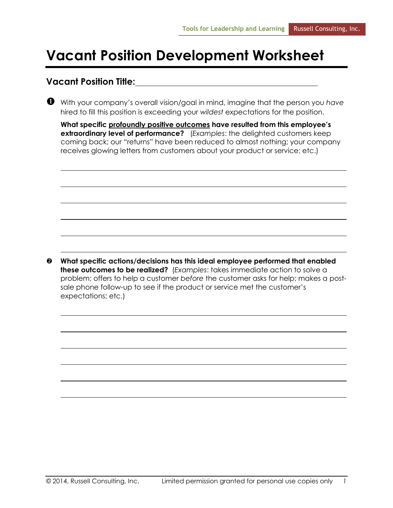## **Vacant Position Development Worksheet**

## **Vacant Position Title:**

 With your company's overall vision/goal in mind, imagine that the person you *have* hired to fill this position is exceeding your *wildest* expectations for the position.

| What specific profoundly positive outcomes have resulted from this employee's |  |  |  |  |  |  |
|-------------------------------------------------------------------------------|--|--|--|--|--|--|
| extraordinary level of performance? (Examples: the delighted customers keep   |  |  |  |  |  |  |
| coming back; our "returns" have been reduced to almost nothing; your company  |  |  |  |  |  |  |
| receives glowing letters from customers about your product or service; etc.)  |  |  |  |  |  |  |

 **What specific actions/decisions has this ideal employee performed that enabled these outcomes to be realized?** (*Examples*: takes immediate action to solve a problem; offers to help a customer *before* the customer asks for help; makes a postsale phone follow-up to see if the product or service met the customer's expectations; etc.)

© 2014, Russell Consulting, Inc. Limited permission granted for personal use copies only *1*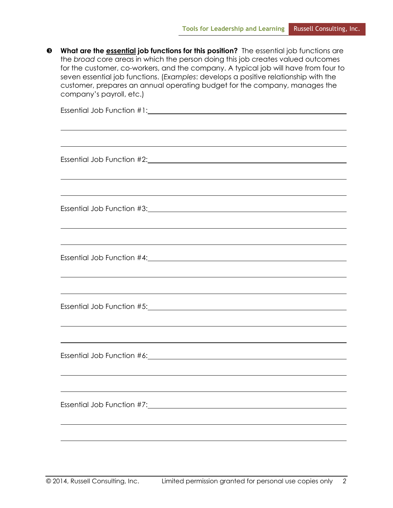| ❸ | What are the <b>essential job functions for this position?</b> The essential job functions are<br>the broad core areas in which the person doing this job creates valued outcomes<br>for the customer, co-workers, and the company. A typical job will have from four to<br>seven essential job functions. (Examples: develops a positive relationship with the<br>customer, prepares an annual operating budget for the company, manages the<br>company's payroll, etc.) |  |  |  |  |  |  |
|---|---------------------------------------------------------------------------------------------------------------------------------------------------------------------------------------------------------------------------------------------------------------------------------------------------------------------------------------------------------------------------------------------------------------------------------------------------------------------------|--|--|--|--|--|--|
|   |                                                                                                                                                                                                                                                                                                                                                                                                                                                                           |  |  |  |  |  |  |
|   | ,我们也不会有什么。""我们的人,我们也不会有什么?""我们的人,我们也不会有什么?""我们的人,我们也不会有什么?""我们的人,我们也不会有什么?""我们的人                                                                                                                                                                                                                                                                                                                                                                                          |  |  |  |  |  |  |
|   | Essential Job Function #3: Change and Contact the Second Line of the Second Line of the Second Line of the Second Line of the Second Line of the Second Line of the Second Line of the Second Line of the Second Line of the S                                                                                                                                                                                                                                            |  |  |  |  |  |  |
|   | ,我们也不会有一个人的人,我们也不会有一个人的人,我们也不会有一个人的人,我们也不会有一个人的人。""我们的人,我们也不会有一个人的人,我们也不会有一个人的人,<br>Essential Job Function #4: 2000 Contract Design Assembly Desertion Assembly Description Assembly Desertion Ass                                                                                                                                                                                                                                                                        |  |  |  |  |  |  |
|   |                                                                                                                                                                                                                                                                                                                                                                                                                                                                           |  |  |  |  |  |  |
|   |                                                                                                                                                                                                                                                                                                                                                                                                                                                                           |  |  |  |  |  |  |
|   |                                                                                                                                                                                                                                                                                                                                                                                                                                                                           |  |  |  |  |  |  |
|   |                                                                                                                                                                                                                                                                                                                                                                                                                                                                           |  |  |  |  |  |  |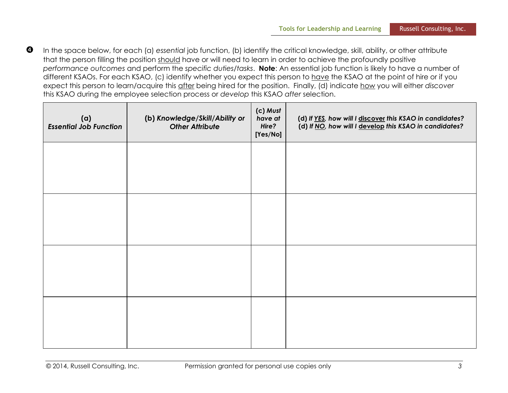**Tools for Leadership and Learning Russell Consulting, Inc.** 

**1** In the space below, for each (a) essential job function, (b) identify the critical knowledge, skill, ability, or other attribute that the person filling the position should have or will need to learn in order to achieve the profoundly positive *performance outcomes* and perform the *specific duties/tasks*. **Note**: An essential job function is likely to have a number of different KSAOs. For each KSAO, (c) identify whether you expect this person to have the KSAO at the point of hire or if you expect this person to learn/acquire this after being hired for the position. Finally, (d) indicate how you will either *discover* this KSAO during the employee selection process or *develop* this KSAO *after* selection.

| (a)<br><b>Essential Job Function</b> | (b) Knowledge/Skill/Ability or<br><b>Other Attribute</b> | (c) Must<br>have at<br>Hire?<br>[Yes/No] | (d) If YES, how will I discover this KSAO in candidates?<br>(d) If NO, how will I develop this KSAO in candidates? |
|--------------------------------------|----------------------------------------------------------|------------------------------------------|--------------------------------------------------------------------------------------------------------------------|
|                                      |                                                          |                                          |                                                                                                                    |
|                                      |                                                          |                                          |                                                                                                                    |
|                                      |                                                          |                                          |                                                                                                                    |
|                                      |                                                          |                                          |                                                                                                                    |
|                                      |                                                          |                                          |                                                                                                                    |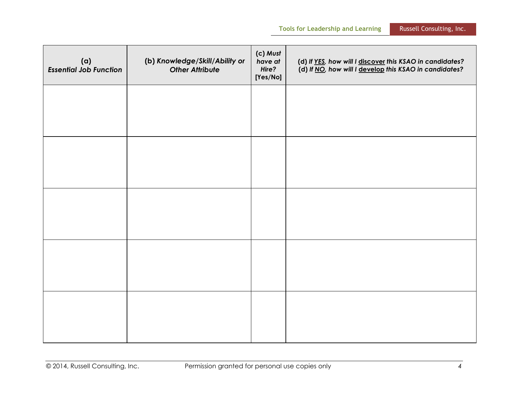| (a)<br><b>Essential Job Function</b> | (b) Knowledge/Skill/Ability or<br><b>Other Attribute</b> | (c) Must<br>have at<br>Hire?<br>[Yes/No] | (d) If YES, how will I discover this KSAO in candidates?<br>(d) If NO, how will I develop this KSAO in candidates? |
|--------------------------------------|----------------------------------------------------------|------------------------------------------|--------------------------------------------------------------------------------------------------------------------|
|                                      |                                                          |                                          |                                                                                                                    |
|                                      |                                                          |                                          |                                                                                                                    |
|                                      |                                                          |                                          |                                                                                                                    |
|                                      |                                                          |                                          |                                                                                                                    |
|                                      |                                                          |                                          |                                                                                                                    |
|                                      |                                                          |                                          |                                                                                                                    |
|                                      |                                                          |                                          |                                                                                                                    |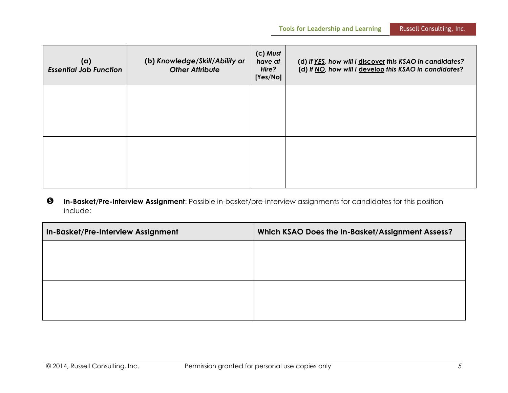| (a)<br><b>Essential Job Function</b> | (b) Knowledge/Skill/Ability or<br><b>Other Attribute</b> | (c) Must<br>have at<br>Hire?<br>[Yes/No] | (d) If YES, how will I discover this KSAO in candidates?<br>(d) If NO, how will I develop this KSAO in candidates? |
|--------------------------------------|----------------------------------------------------------|------------------------------------------|--------------------------------------------------------------------------------------------------------------------|
|                                      |                                                          |                                          |                                                                                                                    |
|                                      |                                                          |                                          |                                                                                                                    |
|                                      |                                                          |                                          |                                                                                                                    |

## **In-Basket/Pre-Interview Assignment**: Possible in-basket/pre-interview assignments for candidates for this position include:

| In-Basket/Pre-Interview Assignment | Which KSAO Does the In-Basket/Assignment Assess? |
|------------------------------------|--------------------------------------------------|
|                                    |                                                  |
|                                    |                                                  |
|                                    |                                                  |
|                                    |                                                  |
|                                    |                                                  |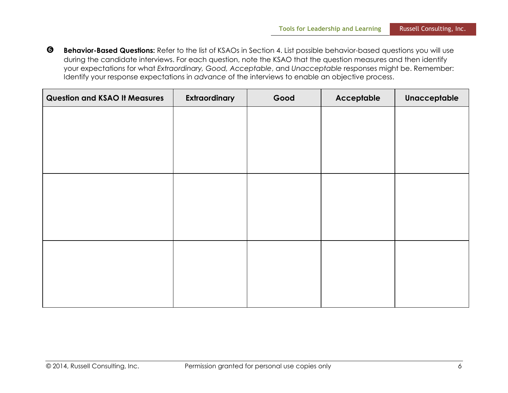**Behavior-Based Questions:** Refer to the list of KSAOs in Section 4. List possible behavior-based questions you will use during the candidate interviews. For each question, note the KSAO that the question measures and then identify your expectations for what *Extraordinary, Good, Acceptable*, and *Unacceptable* responses might be. Remember: Identify your response expectations in *advance* of the interviews to enable an objective process.

| <b>Question and KSAO It Measures</b> | Extraordinary | Good | Acceptable | Unacceptable |
|--------------------------------------|---------------|------|------------|--------------|
|                                      |               |      |            |              |
|                                      |               |      |            |              |
|                                      |               |      |            |              |
|                                      |               |      |            |              |
|                                      |               |      |            |              |
|                                      |               |      |            |              |
|                                      |               |      |            |              |
|                                      |               |      |            |              |
|                                      |               |      |            |              |
|                                      |               |      |            |              |
|                                      |               |      |            |              |
|                                      |               |      |            |              |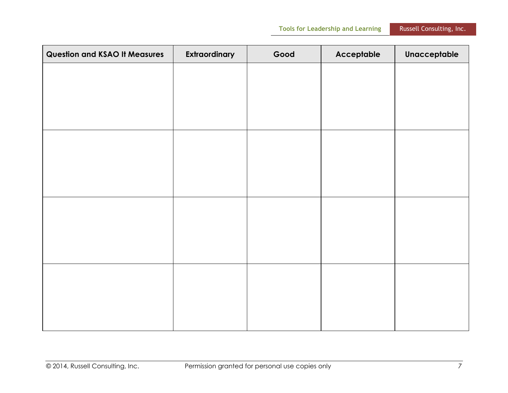| <b>Tools for Leadership and Learning</b> |  |
|------------------------------------------|--|
|                                          |  |

| <b>Question and KSAO It Measures</b> | Extraordinary | Good | Acceptable | Unacceptable |
|--------------------------------------|---------------|------|------------|--------------|
|                                      |               |      |            |              |
|                                      |               |      |            |              |
|                                      |               |      |            |              |
|                                      |               |      |            |              |
|                                      |               |      |            |              |
|                                      |               |      |            |              |
|                                      |               |      |            |              |
|                                      |               |      |            |              |
|                                      |               |      |            |              |
|                                      |               |      |            |              |
|                                      |               |      |            |              |
|                                      |               |      |            |              |
|                                      |               |      |            |              |
|                                      |               |      |            |              |
|                                      |               |      |            |              |
|                                      |               |      |            |              |